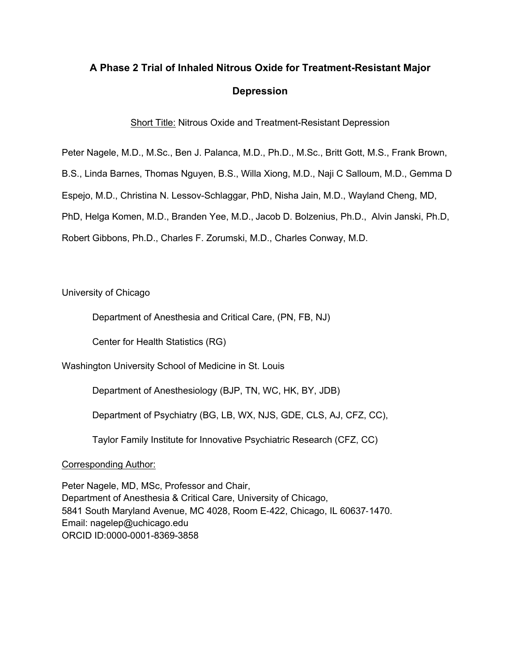## **A Phase 2 Trial of Inhaled Nitrous Oxide for Treatment-Resistant Major Depression**

Short Title: Nitrous Oxide and Treatment-Resistant Depression

Peter Nagele, M.D., M.Sc., Ben J. Palanca, M.D., Ph.D., M.Sc., Britt Gott, M.S., Frank Brown,

B.S., Linda Barnes, Thomas Nguyen, B.S., Willa Xiong, M.D., Naji C Salloum, M.D., Gemma D

Espejo, M.D., Christina N. Lessov-Schlaggar, PhD, Nisha Jain, M.D., Wayland Cheng, MD,

PhD, Helga Komen, M.D., Branden Yee, M.D., Jacob D. Bolzenius, Ph.D., Alvin Janski, Ph.D,

Robert Gibbons, Ph.D., Charles F. Zorumski, M.D., Charles Conway, M.D.

University of Chicago

Department of Anesthesia and Critical Care, (PN, FB, NJ)

Center for Health Statistics (RG)

Washington University School of Medicine in St. Louis

Department of Anesthesiology (BJP, TN, WC, HK, BY, JDB)

Department of Psychiatry (BG, LB, WX, NJS, GDE, CLS, AJ, CFZ, CC),

Taylor Family Institute for Innovative Psychiatric Research (CFZ, CC)

Corresponding Author:

Peter Nagele, MD, MSc, Professor and Chair, Department of Anesthesia & Critical Care, University of Chicago, 5841 South Maryland Avenue, MC 4028, Room E-422, Chicago, IL 60637-1470. Email: nagelep@uchicago.edu ORCID ID:0000-0001-8369-3858